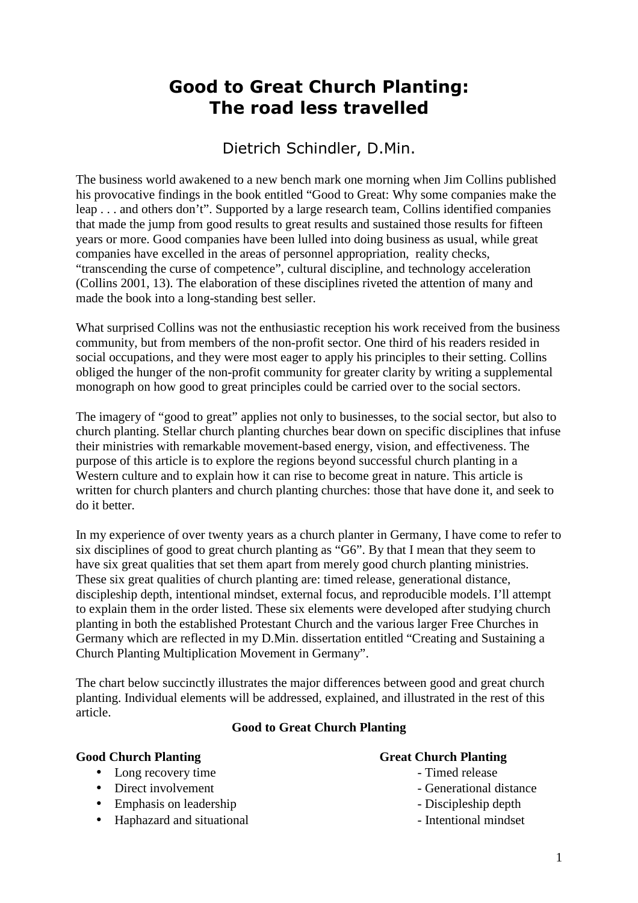# Good to Great Church Planting: The road less travelled

# Dietrich Schindler, D.Min.

The business world awakened to a new bench mark one morning when Jim Collins published his provocative findings in the book entitled "Good to Great: Why some companies make the leap . . . and others don't". Supported by a large research team, Collins identified companies that made the jump from good results to great results and sustained those results for fifteen years or more. Good companies have been lulled into doing business as usual, while great companies have excelled in the areas of personnel appropriation, reality checks, "transcending the curse of competence", cultural discipline, and technology acceleration (Collins 2001, 13). The elaboration of these disciplines riveted the attention of many and made the book into a long-standing best seller.

What surprised Collins was not the enthusiastic reception his work received from the business community, but from members of the non-profit sector. One third of his readers resided in social occupations, and they were most eager to apply his principles to their setting. Collins obliged the hunger of the non-profit community for greater clarity by writing a supplemental monograph on how good to great principles could be carried over to the social sectors.

The imagery of "good to great" applies not only to businesses, to the social sector, but also to church planting. Stellar church planting churches bear down on specific disciplines that infuse their ministries with remarkable movement-based energy, vision, and effectiveness. The purpose of this article is to explore the regions beyond successful church planting in a Western culture and to explain how it can rise to become great in nature. This article is written for church planters and church planting churches: those that have done it, and seek to do it better.

In my experience of over twenty years as a church planter in Germany, I have come to refer to six disciplines of good to great church planting as "G6". By that I mean that they seem to have six great qualities that set them apart from merely good church planting ministries. These six great qualities of church planting are: timed release, generational distance, discipleship depth, intentional mindset, external focus, and reproducible models. I'll attempt to explain them in the order listed. These six elements were developed after studying church planting in both the established Protestant Church and the various larger Free Churches in Germany which are reflected in my D.Min. dissertation entitled "Creating and Sustaining a Church Planting Multiplication Movement in Germany".

The chart below succinctly illustrates the major differences between good and great church planting. Individual elements will be addressed, explained, and illustrated in the rest of this article.

# **Good to Great Church Planting**

## **Good Church Planting Great Church Planting**

- Long recovery time  $\bullet$  Timed release
- Direct involvement  **Generational distance**
- Emphasis on leadership  $\bullet$  Discipleship depth
- Haphazard and situational contract the Intentional mindset

- 
- 
- 
-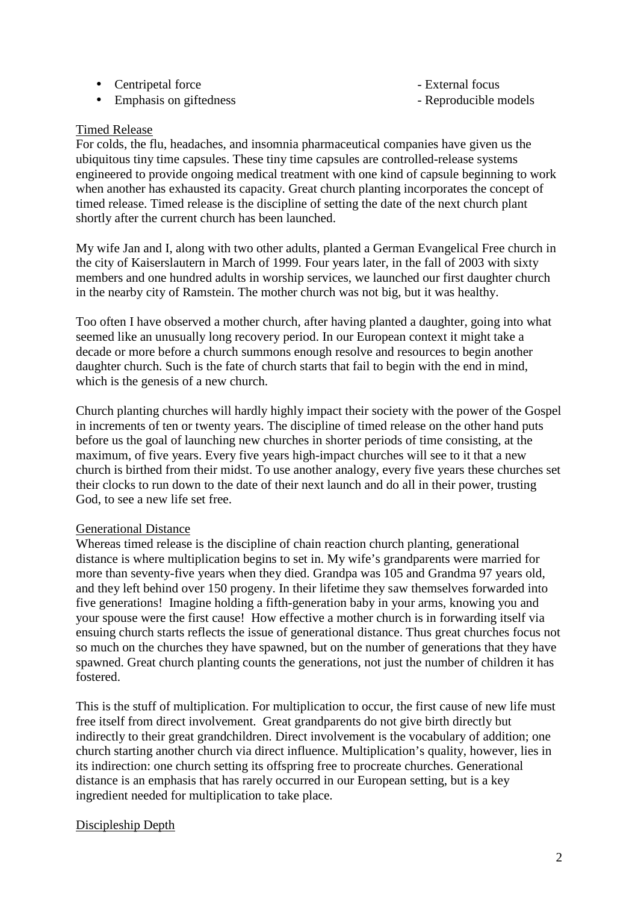- Centripetal force External focus
- Emphasis on giftedness Reproducible models

# Timed Release

For colds, the flu, headaches, and insomnia pharmaceutical companies have given us the ubiquitous tiny time capsules. These tiny time capsules are controlled-release systems engineered to provide ongoing medical treatment with one kind of capsule beginning to work when another has exhausted its capacity. Great church planting incorporates the concept of timed release. Timed release is the discipline of setting the date of the next church plant shortly after the current church has been launched.

My wife Jan and I, along with two other adults, planted a German Evangelical Free church in the city of Kaiserslautern in March of 1999. Four years later, in the fall of 2003 with sixty members and one hundred adults in worship services, we launched our first daughter church in the nearby city of Ramstein. The mother church was not big, but it was healthy.

Too often I have observed a mother church, after having planted a daughter, going into what seemed like an unusually long recovery period. In our European context it might take a decade or more before a church summons enough resolve and resources to begin another daughter church. Such is the fate of church starts that fail to begin with the end in mind, which is the genesis of a new church.

Church planting churches will hardly highly impact their society with the power of the Gospel in increments of ten or twenty years. The discipline of timed release on the other hand puts before us the goal of launching new churches in shorter periods of time consisting, at the maximum, of five years. Every five years high-impact churches will see to it that a new church is birthed from their midst. To use another analogy, every five years these churches set their clocks to run down to the date of their next launch and do all in their power, trusting God, to see a new life set free.

## Generational Distance

Whereas timed release is the discipline of chain reaction church planting, generational distance is where multiplication begins to set in. My wife's grandparents were married for more than seventy-five years when they died. Grandpa was 105 and Grandma 97 years old, and they left behind over 150 progeny. In their lifetime they saw themselves forwarded into five generations! Imagine holding a fifth-generation baby in your arms, knowing you and your spouse were the first cause! How effective a mother church is in forwarding itself via ensuing church starts reflects the issue of generational distance. Thus great churches focus not so much on the churches they have spawned, but on the number of generations that they have spawned. Great church planting counts the generations, not just the number of children it has fostered.

This is the stuff of multiplication. For multiplication to occur, the first cause of new life must free itself from direct involvement. Great grandparents do not give birth directly but indirectly to their great grandchildren. Direct involvement is the vocabulary of addition; one church starting another church via direct influence. Multiplication's quality, however, lies in its indirection: one church setting its offspring free to procreate churches. Generational distance is an emphasis that has rarely occurred in our European setting, but is a key ingredient needed for multiplication to take place.

# Discipleship Depth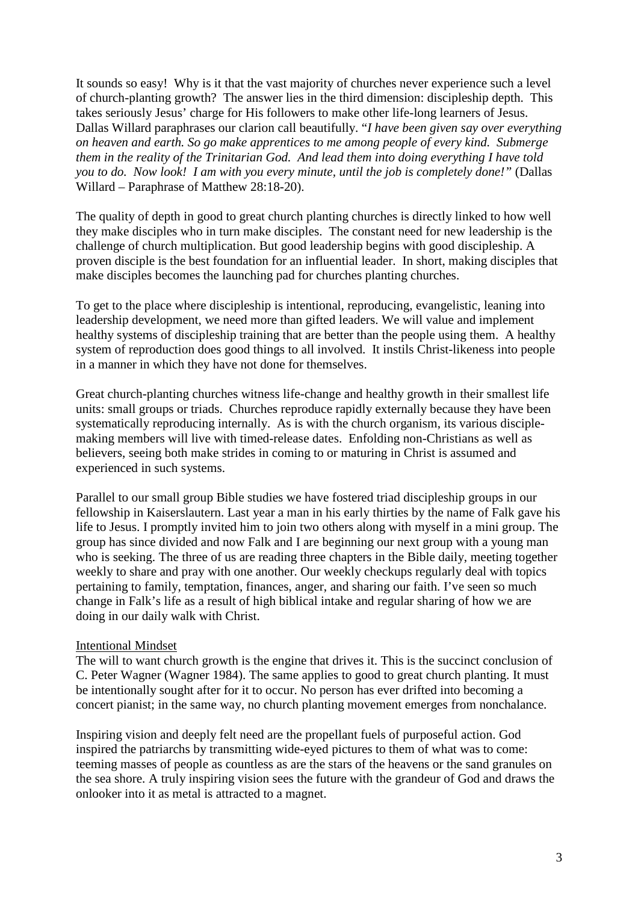It sounds so easy! Why is it that the vast majority of churches never experience such a level of church-planting growth? The answer lies in the third dimension: discipleship depth. This takes seriously Jesus' charge for His followers to make other life-long learners of Jesus. Dallas Willard paraphrases our clarion call beautifully. "*I have been given say over everything on heaven and earth. So go make apprentices to me among people of every kind. Submerge them in the reality of the Trinitarian God. And lead them into doing everything I have told you to do. Now look! I am with you every minute, until the job is completely done!"* (Dallas Willard – Paraphrase of Matthew 28:18-20).

The quality of depth in good to great church planting churches is directly linked to how well they make disciples who in turn make disciples. The constant need for new leadership is the challenge of church multiplication. But good leadership begins with good discipleship. A proven disciple is the best foundation for an influential leader. In short, making disciples that make disciples becomes the launching pad for churches planting churches.

To get to the place where discipleship is intentional, reproducing, evangelistic, leaning into leadership development, we need more than gifted leaders. We will value and implement healthy systems of discipleship training that are better than the people using them. A healthy system of reproduction does good things to all involved. It instils Christ-likeness into people in a manner in which they have not done for themselves.

Great church-planting churches witness life-change and healthy growth in their smallest life units: small groups or triads. Churches reproduce rapidly externally because they have been systematically reproducing internally. As is with the church organism, its various disciplemaking members will live with timed-release dates. Enfolding non-Christians as well as believers, seeing both make strides in coming to or maturing in Christ is assumed and experienced in such systems.

Parallel to our small group Bible studies we have fostered triad discipleship groups in our fellowship in Kaiserslautern. Last year a man in his early thirties by the name of Falk gave his life to Jesus. I promptly invited him to join two others along with myself in a mini group. The group has since divided and now Falk and I are beginning our next group with a young man who is seeking. The three of us are reading three chapters in the Bible daily, meeting together weekly to share and pray with one another. Our weekly checkups regularly deal with topics pertaining to family, temptation, finances, anger, and sharing our faith. I've seen so much change in Falk's life as a result of high biblical intake and regular sharing of how we are doing in our daily walk with Christ.

#### Intentional Mindset

The will to want church growth is the engine that drives it. This is the succinct conclusion of C. Peter Wagner (Wagner 1984). The same applies to good to great church planting. It must be intentionally sought after for it to occur. No person has ever drifted into becoming a concert pianist; in the same way, no church planting movement emerges from nonchalance.

Inspiring vision and deeply felt need are the propellant fuels of purposeful action. God inspired the patriarchs by transmitting wide-eyed pictures to them of what was to come: teeming masses of people as countless as are the stars of the heavens or the sand granules on the sea shore. A truly inspiring vision sees the future with the grandeur of God and draws the onlooker into it as metal is attracted to a magnet.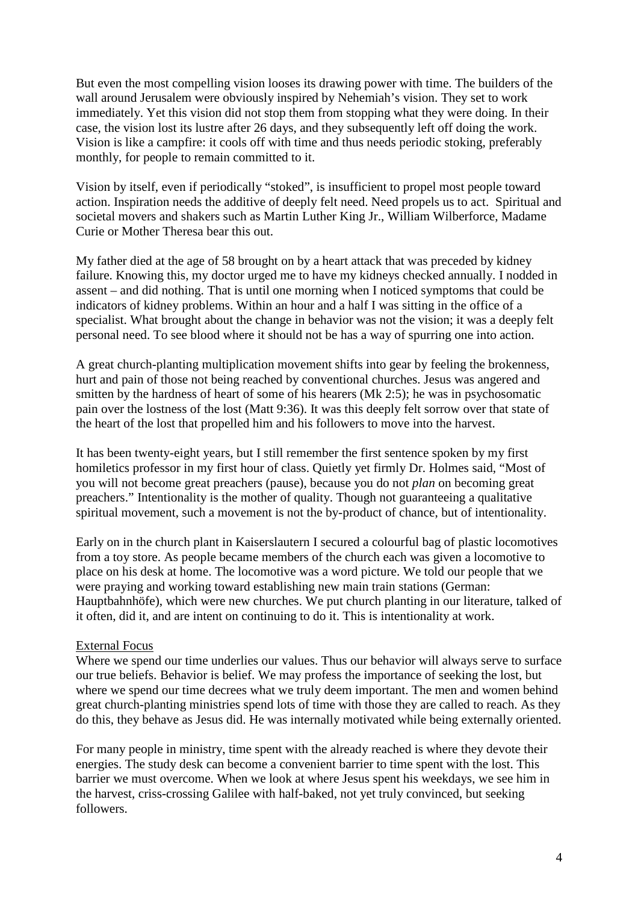But even the most compelling vision looses its drawing power with time. The builders of the wall around Jerusalem were obviously inspired by Nehemiah's vision. They set to work immediately. Yet this vision did not stop them from stopping what they were doing. In their case, the vision lost its lustre after 26 days, and they subsequently left off doing the work. Vision is like a campfire: it cools off with time and thus needs periodic stoking, preferably monthly, for people to remain committed to it.

Vision by itself, even if periodically "stoked", is insufficient to propel most people toward action. Inspiration needs the additive of deeply felt need. Need propels us to act. Spiritual and societal movers and shakers such as Martin Luther King Jr., William Wilberforce, Madame Curie or Mother Theresa bear this out.

My father died at the age of 58 brought on by a heart attack that was preceded by kidney failure. Knowing this, my doctor urged me to have my kidneys checked annually. I nodded in assent – and did nothing. That is until one morning when I noticed symptoms that could be indicators of kidney problems. Within an hour and a half I was sitting in the office of a specialist. What brought about the change in behavior was not the vision; it was a deeply felt personal need. To see blood where it should not be has a way of spurring one into action.

A great church-planting multiplication movement shifts into gear by feeling the brokenness, hurt and pain of those not being reached by conventional churches. Jesus was angered and smitten by the hardness of heart of some of his hearers (Mk 2:5); he was in psychosomatic pain over the lostness of the lost (Matt 9:36). It was this deeply felt sorrow over that state of the heart of the lost that propelled him and his followers to move into the harvest.

It has been twenty-eight years, but I still remember the first sentence spoken by my first homiletics professor in my first hour of class. Quietly yet firmly Dr. Holmes said, "Most of you will not become great preachers (pause), because you do not *plan* on becoming great preachers." Intentionality is the mother of quality. Though not guaranteeing a qualitative spiritual movement, such a movement is not the by-product of chance, but of intentionality.

Early on in the church plant in Kaiserslautern I secured a colourful bag of plastic locomotives from a toy store. As people became members of the church each was given a locomotive to place on his desk at home. The locomotive was a word picture. We told our people that we were praying and working toward establishing new main train stations (German: Hauptbahnhöfe), which were new churches. We put church planting in our literature, talked of it often, did it, and are intent on continuing to do it. This is intentionality at work.

#### External Focus

Where we spend our time underlies our values. Thus our behavior will always serve to surface our true beliefs. Behavior is belief. We may profess the importance of seeking the lost, but where we spend our time decrees what we truly deem important. The men and women behind great church-planting ministries spend lots of time with those they are called to reach. As they do this, they behave as Jesus did. He was internally motivated while being externally oriented.

For many people in ministry, time spent with the already reached is where they devote their energies. The study desk can become a convenient barrier to time spent with the lost. This barrier we must overcome. When we look at where Jesus spent his weekdays, we see him in the harvest, criss-crossing Galilee with half-baked, not yet truly convinced, but seeking followers.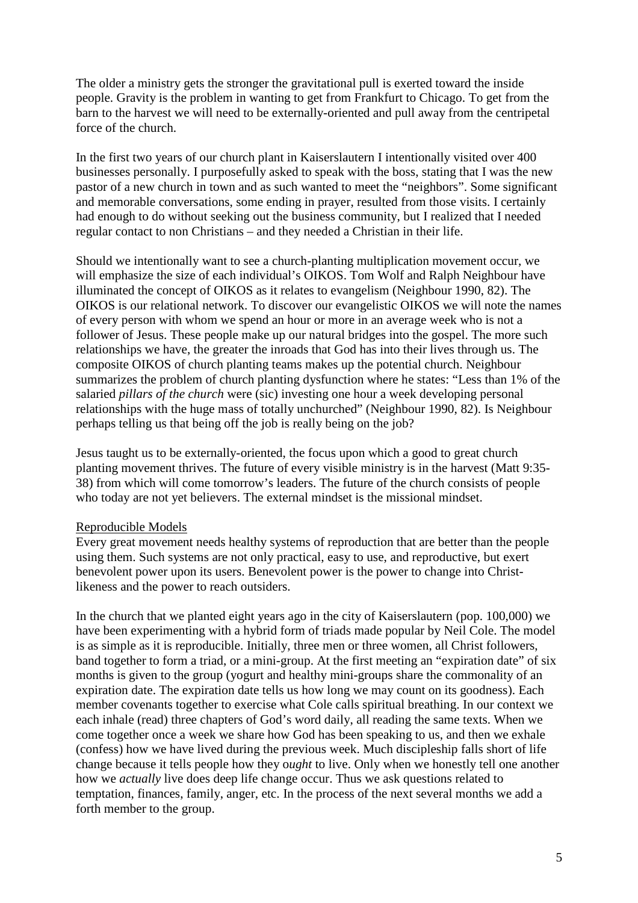The older a ministry gets the stronger the gravitational pull is exerted toward the inside people. Gravity is the problem in wanting to get from Frankfurt to Chicago. To get from the barn to the harvest we will need to be externally-oriented and pull away from the centripetal force of the church.

In the first two years of our church plant in Kaiserslautern I intentionally visited over 400 businesses personally. I purposefully asked to speak with the boss, stating that I was the new pastor of a new church in town and as such wanted to meet the "neighbors". Some significant and memorable conversations, some ending in prayer, resulted from those visits. I certainly had enough to do without seeking out the business community, but I realized that I needed regular contact to non Christians – and they needed a Christian in their life.

Should we intentionally want to see a church-planting multiplication movement occur, we will emphasize the size of each individual's OIKOS. Tom Wolf and Ralph Neighbour have illuminated the concept of OIKOS as it relates to evangelism (Neighbour 1990, 82). The OIKOS is our relational network. To discover our evangelistic OIKOS we will note the names of every person with whom we spend an hour or more in an average week who is not a follower of Jesus. These people make up our natural bridges into the gospel. The more such relationships we have, the greater the inroads that God has into their lives through us. The composite OIKOS of church planting teams makes up the potential church. Neighbour summarizes the problem of church planting dysfunction where he states: "Less than 1% of the salaried *pillars of the church* were (sic) investing one hour a week developing personal relationships with the huge mass of totally unchurched" (Neighbour 1990, 82). Is Neighbour perhaps telling us that being off the job is really being on the job?

Jesus taught us to be externally-oriented, the focus upon which a good to great church planting movement thrives. The future of every visible ministry is in the harvest (Matt 9:35- 38) from which will come tomorrow's leaders. The future of the church consists of people who today are not yet believers. The external mindset is the missional mindset.

#### Reproducible Models

Every great movement needs healthy systems of reproduction that are better than the people using them. Such systems are not only practical, easy to use, and reproductive, but exert benevolent power upon its users. Benevolent power is the power to change into Christlikeness and the power to reach outsiders.

In the church that we planted eight years ago in the city of Kaiserslautern (pop. 100,000) we have been experimenting with a hybrid form of triads made popular by Neil Cole. The model is as simple as it is reproducible. Initially, three men or three women, all Christ followers, band together to form a triad, or a mini-group. At the first meeting an "expiration date" of six months is given to the group (yogurt and healthy mini-groups share the commonality of an expiration date. The expiration date tells us how long we may count on its goodness). Each member covenants together to exercise what Cole calls spiritual breathing. In our context we each inhale (read) three chapters of God's word daily, all reading the same texts. When we come together once a week we share how God has been speaking to us, and then we exhale (confess) how we have lived during the previous week. Much discipleship falls short of life change because it tells people how they o*ught* to live. Only when we honestly tell one another how we *actually* live does deep life change occur. Thus we ask questions related to temptation, finances, family, anger, etc. In the process of the next several months we add a forth member to the group.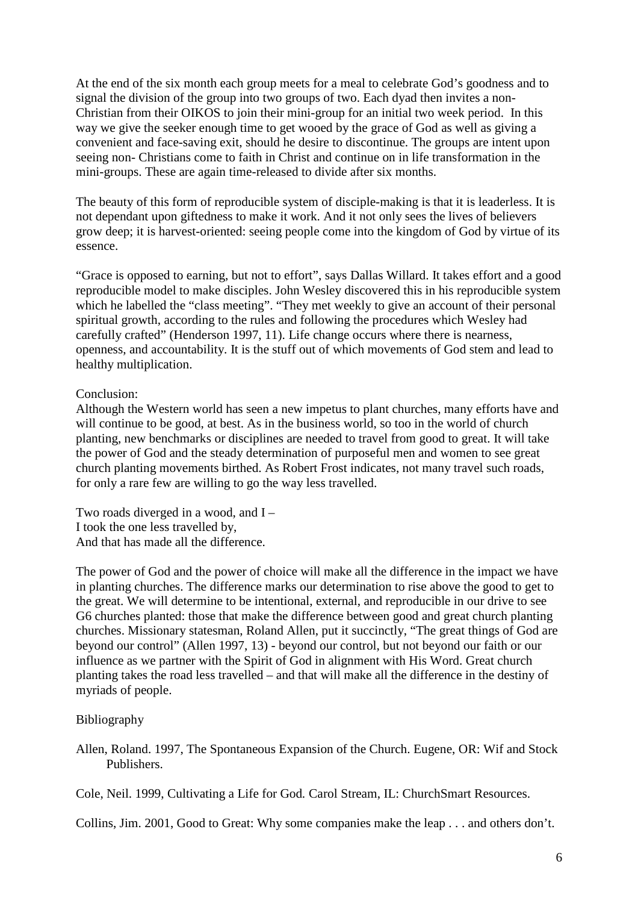At the end of the six month each group meets for a meal to celebrate God's goodness and to signal the division of the group into two groups of two. Each dyad then invites a non-Christian from their OIKOS to join their mini-group for an initial two week period. In this way we give the seeker enough time to get wooed by the grace of God as well as giving a convenient and face-saving exit, should he desire to discontinue. The groups are intent upon seeing non- Christians come to faith in Christ and continue on in life transformation in the mini-groups. These are again time-released to divide after six months.

The beauty of this form of reproducible system of disciple-making is that it is leaderless. It is not dependant upon giftedness to make it work. And it not only sees the lives of believers grow deep; it is harvest-oriented: seeing people come into the kingdom of God by virtue of its essence.

"Grace is opposed to earning, but not to effort", says Dallas Willard. It takes effort and a good reproducible model to make disciples. John Wesley discovered this in his reproducible system which he labelled the "class meeting". "They met weekly to give an account of their personal spiritual growth, according to the rules and following the procedures which Wesley had carefully crafted" (Henderson 1997, 11). Life change occurs where there is nearness, openness, and accountability. It is the stuff out of which movements of God stem and lead to healthy multiplication.

### Conclusion:

Although the Western world has seen a new impetus to plant churches, many efforts have and will continue to be good, at best. As in the business world, so too in the world of church planting, new benchmarks or disciplines are needed to travel from good to great. It will take the power of God and the steady determination of purposeful men and women to see great church planting movements birthed. As Robert Frost indicates, not many travel such roads, for only a rare few are willing to go the way less travelled.

Two roads diverged in a wood, and I – I took the one less travelled by, And that has made all the difference.

The power of God and the power of choice will make all the difference in the impact we have in planting churches. The difference marks our determination to rise above the good to get to the great. We will determine to be intentional, external, and reproducible in our drive to see G6 churches planted: those that make the difference between good and great church planting churches. Missionary statesman, Roland Allen, put it succinctly, "The great things of God are beyond our control" (Allen 1997, 13) - beyond our control, but not beyond our faith or our influence as we partner with the Spirit of God in alignment with His Word. Great church planting takes the road less travelled – and that will make all the difference in the destiny of myriads of people.

#### Bibliography

Allen, Roland. 1997, The Spontaneous Expansion of the Church. Eugene, OR: Wif and Stock Publishers.

Cole, Neil. 1999, Cultivating a Life for God*.* Carol Stream, IL: ChurchSmart Resources.

Collins, Jim. 2001, Good to Great: Why some companies make the leap . . . and others don't.